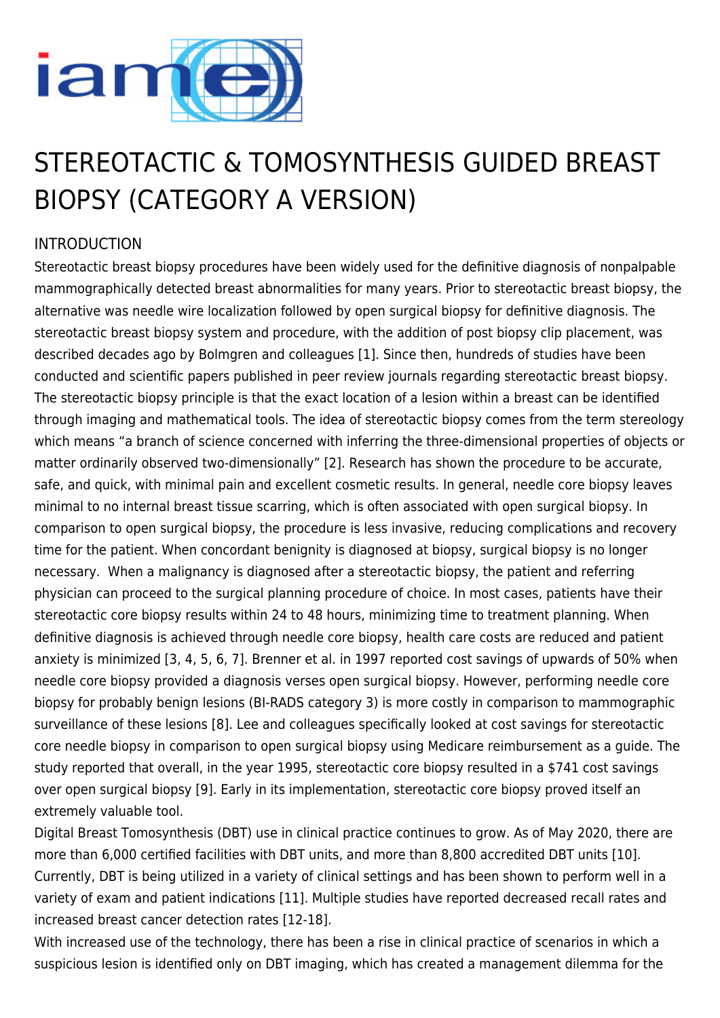

# STEREOTACTIC & TOMOSYNTHESIS GUIDED BREAST BIOPSY (CATEGORY A VERSION)

# INTRODUCTION

Stereotactic breast biopsy procedures have been widely used for the definitive diagnosis of nonpalpable mammographically detected breast abnormalities for many years. Prior to stereotactic breast biopsy, the alternative was needle wire localization followed by open surgical biopsy for definitive diagnosis. The stereotactic breast biopsy system and procedure, with the addition of post biopsy clip placement, was described decades ago by Bolmgren and colleagues [1]. Since then, hundreds of studies have been conducted and scientific papers published in peer review journals regarding stereotactic breast biopsy. The stereotactic biopsy principle is that the exact location of a lesion within a breast can be identified through imaging and mathematical tools. The idea of stereotactic biopsy comes from the term stereology which means "a branch of science concerned with inferring the three-dimensional properties of objects or matter ordinarily observed two-dimensionally" [2]. Research has shown the procedure to be accurate, safe, and quick, with minimal pain and excellent cosmetic results. In general, needle core biopsy leaves minimal to no internal breast tissue scarring, which is often associated with open surgical biopsy. In comparison to open surgical biopsy, the procedure is less invasive, reducing complications and recovery time for the patient. When concordant benignity is diagnosed at biopsy, surgical biopsy is no longer necessary. When a malignancy is diagnosed after a stereotactic biopsy, the patient and referring physician can proceed to the surgical planning procedure of choice. In most cases, patients have their stereotactic core biopsy results within 24 to 48 hours, minimizing time to treatment planning. When definitive diagnosis is achieved through needle core biopsy, health care costs are reduced and patient anxiety is minimized [3, 4, 5, 6, 7]. Brenner et al. in 1997 reported cost savings of upwards of 50% when needle core biopsy provided a diagnosis verses open surgical biopsy. However, performing needle core biopsy for probably benign lesions (BI-RADS category 3) is more costly in comparison to mammographic surveillance of these lesions [8]. Lee and colleagues specifically looked at cost savings for stereotactic core needle biopsy in comparison to open surgical biopsy using Medicare reimbursement as a guide. The study reported that overall, in the year 1995, stereotactic core biopsy resulted in a \$741 cost savings over open surgical biopsy [9]. Early in its implementation, stereotactic core biopsy proved itself an extremely valuable tool.

Digital Breast Tomosynthesis (DBT) use in clinical practice continues to grow. As of May 2020, there are more than 6,000 certified facilities with DBT units, and more than 8,800 accredited DBT units [10]. Currently, DBT is being utilized in a variety of clinical settings and has been shown to perform well in a variety of exam and patient indications [11]. Multiple studies have reported decreased recall rates and increased breast cancer detection rates [12-18].

With increased use of the technology, there has been a rise in clinical practice of scenarios in which a suspicious lesion is identified only on DBT imaging, which has created a management dilemma for the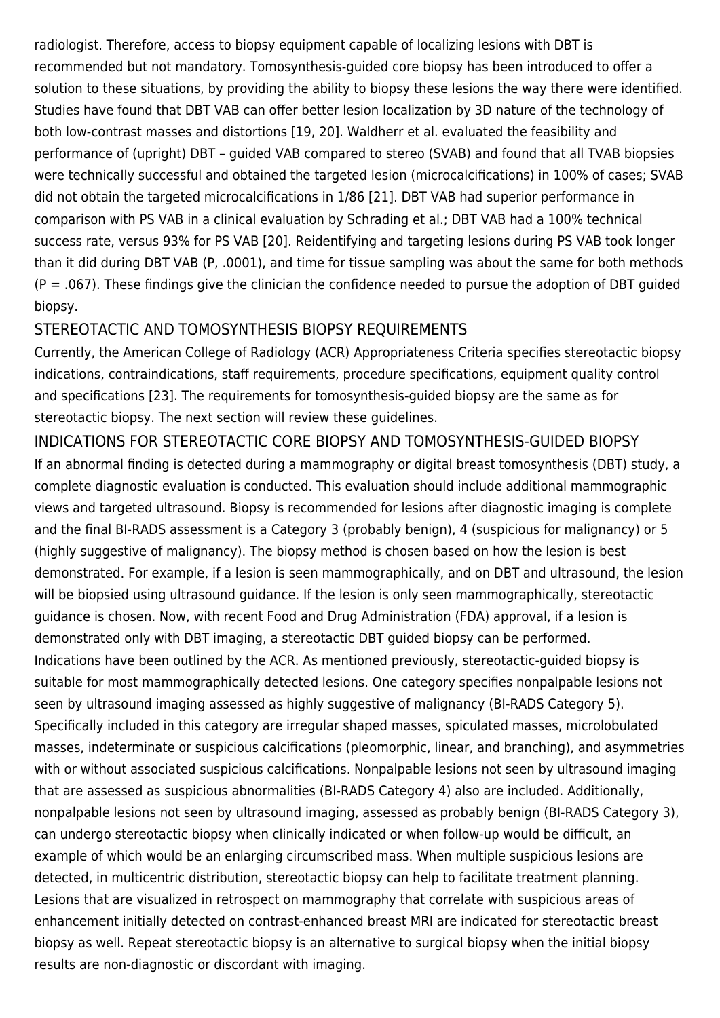radiologist. Therefore, access to biopsy equipment capable of localizing lesions with DBT is recommended but not mandatory. Tomosynthesis-guided core biopsy has been introduced to offer a solution to these situations, by providing the ability to biopsy these lesions the way there were identified. Studies have found that DBT VAB can offer better lesion localization by 3D nature of the technology of both low-contrast masses and distortions [19, 20]. Waldherr et al. evaluated the feasibility and performance of (upright) DBT – guided VAB compared to stereo (SVAB) and found that all TVAB biopsies were technically successful and obtained the targeted lesion (microcalcifications) in 100% of cases; SVAB did not obtain the targeted microcalcifications in 1/86 [21]. DBT VAB had superior performance in comparison with PS VAB in a clinical evaluation by Schrading et al.; DBT VAB had a 100% technical success rate, versus 93% for PS VAB [20]. Reidentifying and targeting lesions during PS VAB took longer than it did during DBT VAB (P, .0001), and time for tissue sampling was about the same for both methods  $(P = .067)$ . These findings give the clinician the confidence needed to pursue the adoption of DBT guided biopsy.

## STEREOTACTIC AND TOMOSYNTHESIS BIOPSY REQUIREMENTS

Currently, the American College of Radiology (ACR) Appropriateness Criteria specifies stereotactic biopsy indications, contraindications, staff requirements, procedure specifications, equipment quality control and specifications [23]. The requirements for tomosynthesis-guided biopsy are the same as for stereotactic biopsy. The next section will review these guidelines.

INDICATIONS FOR STEREOTACTIC CORE BIOPSY AND TOMOSYNTHESIS-GUIDED BIOPSY If an abnormal finding is detected during a mammography or digital breast tomosynthesis (DBT) study, a complete diagnostic evaluation is conducted. This evaluation should include additional mammographic views and targeted ultrasound. Biopsy is recommended for lesions after diagnostic imaging is complete and the final BI-RADS assessment is a Category 3 (probably benign), 4 (suspicious for malignancy) or 5 (highly suggestive of malignancy). The biopsy method is chosen based on how the lesion is best demonstrated. For example, if a lesion is seen mammographically, and on DBT and ultrasound, the lesion will be biopsied using ultrasound quidance. If the lesion is only seen mammographically, stereotactic guidance is chosen. Now, with recent Food and Drug Administration (FDA) approval, if a lesion is demonstrated only with DBT imaging, a stereotactic DBT guided biopsy can be performed. Indications have been outlined by the ACR. As mentioned previously, stereotactic-guided biopsy is suitable for most mammographically detected lesions. One category specifies nonpalpable lesions not seen by ultrasound imaging assessed as highly suggestive of malignancy (BI-RADS Category 5). Specifically included in this category are irregular shaped masses, spiculated masses, microlobulated masses, indeterminate or suspicious calcifications (pleomorphic, linear, and branching), and asymmetries with or without associated suspicious calcifications. Nonpalpable lesions not seen by ultrasound imaging that are assessed as suspicious abnormalities (BI-RADS Category 4) also are included. Additionally, nonpalpable lesions not seen by ultrasound imaging, assessed as probably benign (BI-RADS Category 3), can undergo stereotactic biopsy when clinically indicated or when follow-up would be difficult, an example of which would be an enlarging circumscribed mass. When multiple suspicious lesions are detected, in multicentric distribution, stereotactic biopsy can help to facilitate treatment planning. Lesions that are visualized in retrospect on mammography that correlate with suspicious areas of enhancement initially detected on contrast-enhanced breast MRI are indicated for stereotactic breast biopsy as well. Repeat stereotactic biopsy is an alternative to surgical biopsy when the initial biopsy results are non-diagnostic or discordant with imaging.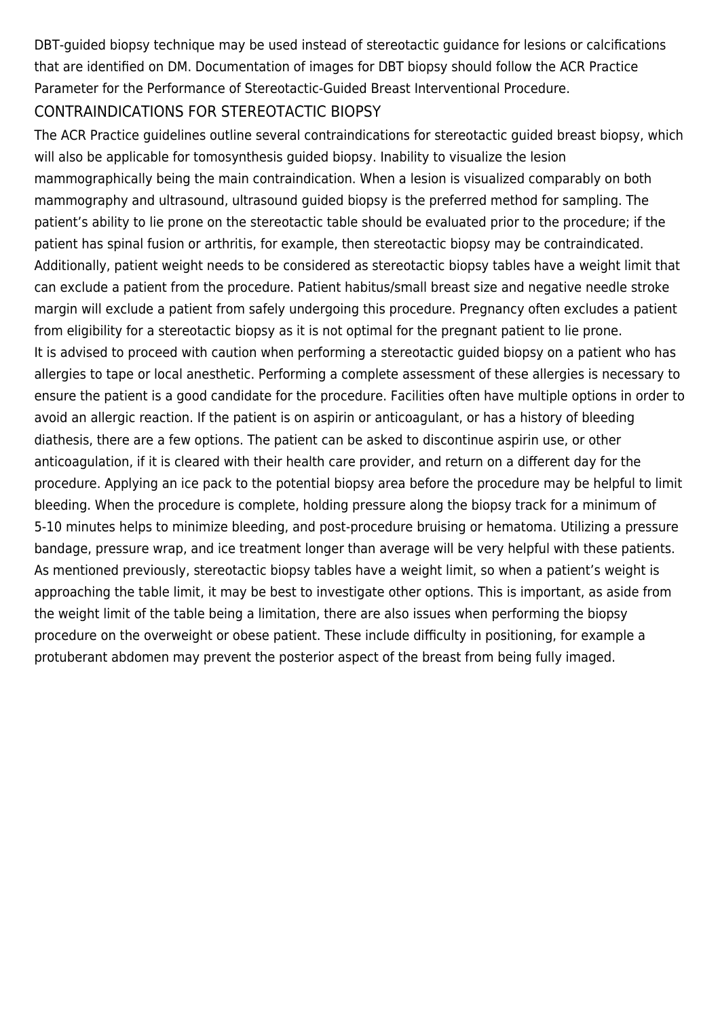DBT-guided biopsy technique may be used instead of stereotactic guidance for lesions or calcifications that are identified on DM. Documentation of images for DBT biopsy should follow the ACR Practice Parameter for the Performance of Stereotactic-Guided Breast Interventional Procedure.

#### CONTRAINDICATIONS FOR STEREOTACTIC BIOPSY

The ACR Practice guidelines outline several contraindications for stereotactic guided breast biopsy, which will also be applicable for tomosynthesis guided biopsy. Inability to visualize the lesion mammographically being the main contraindication. When a lesion is visualized comparably on both mammography and ultrasound, ultrasound guided biopsy is the preferred method for sampling. The patient's ability to lie prone on the stereotactic table should be evaluated prior to the procedure; if the patient has spinal fusion or arthritis, for example, then stereotactic biopsy may be contraindicated. Additionally, patient weight needs to be considered as stereotactic biopsy tables have a weight limit that can exclude a patient from the procedure. Patient habitus/small breast size and negative needle stroke margin will exclude a patient from safely undergoing this procedure. Pregnancy often excludes a patient from eligibility for a stereotactic biopsy as it is not optimal for the pregnant patient to lie prone. It is advised to proceed with caution when performing a stereotactic guided biopsy on a patient who has allergies to tape or local anesthetic. Performing a complete assessment of these allergies is necessary to ensure the patient is a good candidate for the procedure. Facilities often have multiple options in order to avoid an allergic reaction. If the patient is on aspirin or anticoagulant, or has a history of bleeding diathesis, there are a few options. The patient can be asked to discontinue aspirin use, or other anticoagulation, if it is cleared with their health care provider, and return on a different day for the procedure. Applying an ice pack to the potential biopsy area before the procedure may be helpful to limit bleeding. When the procedure is complete, holding pressure along the biopsy track for a minimum of 5-10 minutes helps to minimize bleeding, and post-procedure bruising or hematoma. Utilizing a pressure bandage, pressure wrap, and ice treatment longer than average will be very helpful with these patients. As mentioned previously, stereotactic biopsy tables have a weight limit, so when a patient's weight is approaching the table limit, it may be best to investigate other options. This is important, as aside from the weight limit of the table being a limitation, there are also issues when performing the biopsy procedure on the overweight or obese patient. These include difficulty in positioning, for example a protuberant abdomen may prevent the posterior aspect of the breast from being fully imaged.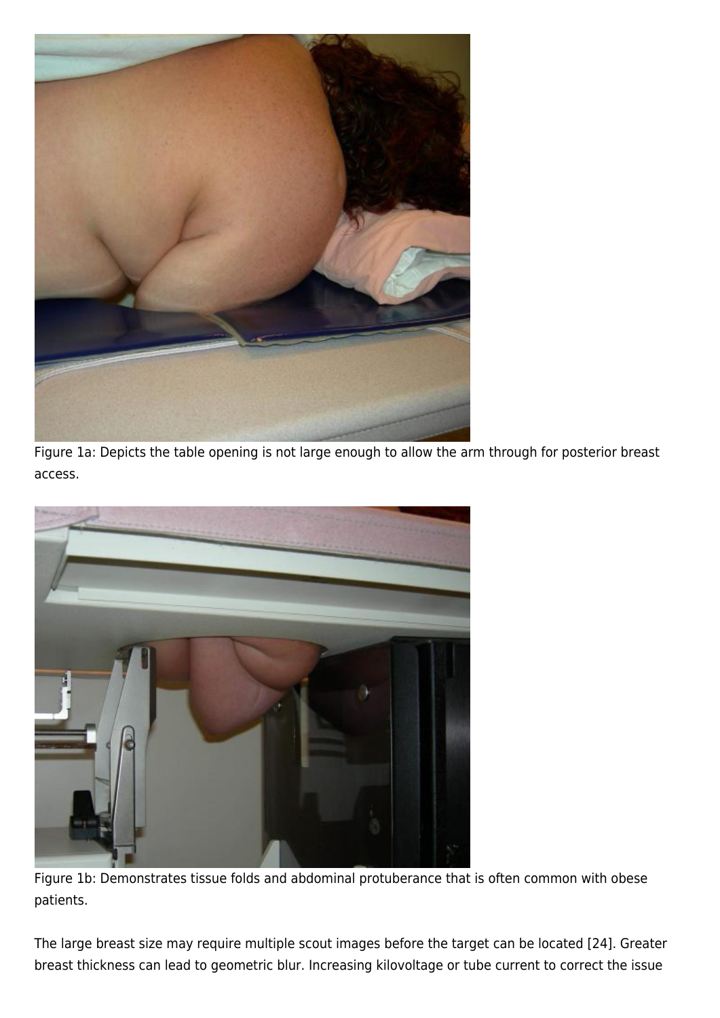

Figure 1a: Depicts the table opening is not large enough to allow the arm through for posterior breast access.



Figure 1b: Demonstrates tissue folds and abdominal protuberance that is often common with obese patients.

The large breast size may require multiple scout images before the target can be located [24]. Greater breast thickness can lead to geometric blur. Increasing kilovoltage or tube current to correct the issue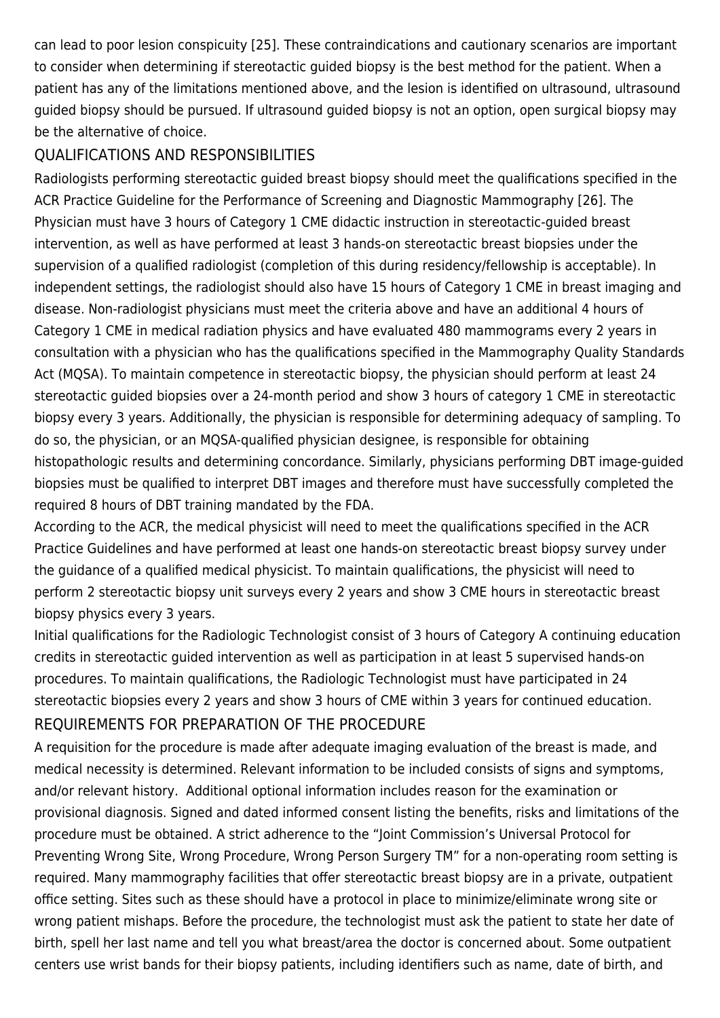can lead to poor lesion conspicuity [25]. These contraindications and cautionary scenarios are important to consider when determining if stereotactic guided biopsy is the best method for the patient. When a patient has any of the limitations mentioned above, and the lesion is identified on ultrasound, ultrasound guided biopsy should be pursued. If ultrasound guided biopsy is not an option, open surgical biopsy may be the alternative of choice.

## QUALIFICATIONS AND RESPONSIBILITIES

Radiologists performing stereotactic guided breast biopsy should meet the qualifications specified in the ACR Practice Guideline for the Performance of Screening and Diagnostic Mammography [26]. The Physician must have 3 hours of Category 1 CME didactic instruction in stereotactic-guided breast intervention, as well as have performed at least 3 hands-on stereotactic breast biopsies under the supervision of a qualified radiologist (completion of this during residency/fellowship is acceptable). In independent settings, the radiologist should also have 15 hours of Category 1 CME in breast imaging and disease. Non-radiologist physicians must meet the criteria above and have an additional 4 hours of Category 1 CME in medical radiation physics and have evaluated 480 mammograms every 2 years in consultation with a physician who has the qualifications specified in the Mammography Quality Standards Act (MQSA). To maintain competence in stereotactic biopsy, the physician should perform at least 24 stereotactic guided biopsies over a 24-month period and show 3 hours of category 1 CME in stereotactic biopsy every 3 years. Additionally, the physician is responsible for determining adequacy of sampling. To do so, the physician, or an MQSA-qualified physician designee, is responsible for obtaining histopathologic results and determining concordance. Similarly, physicians performing DBT image-guided biopsies must be qualified to interpret DBT images and therefore must have successfully completed the required 8 hours of DBT training mandated by the FDA.

According to the ACR, the medical physicist will need to meet the qualifications specified in the ACR Practice Guidelines and have performed at least one hands-on stereotactic breast biopsy survey under the guidance of a qualified medical physicist. To maintain qualifications, the physicist will need to perform 2 stereotactic biopsy unit surveys every 2 years and show 3 CME hours in stereotactic breast biopsy physics every 3 years.

Initial qualifications for the Radiologic Technologist consist of 3 hours of Category A continuing education credits in stereotactic guided intervention as well as participation in at least 5 supervised hands-on procedures. To maintain qualifications, the Radiologic Technologist must have participated in 24 stereotactic biopsies every 2 years and show 3 hours of CME within 3 years for continued education. REQUIREMENTS FOR PREPARATION OF THE PROCEDURE

A requisition for the procedure is made after adequate imaging evaluation of the breast is made, and medical necessity is determined. Relevant information to be included consists of signs and symptoms, and/or relevant history. Additional optional information includes reason for the examination or provisional diagnosis. Signed and dated informed consent listing the benefits, risks and limitations of the procedure must be obtained. A strict adherence to the "Joint Commission's Universal Protocol for Preventing Wrong Site, Wrong Procedure, Wrong Person Surgery TM" for a non-operating room setting is required. Many mammography facilities that offer stereotactic breast biopsy are in a private, outpatient office setting. Sites such as these should have a protocol in place to minimize/eliminate wrong site or wrong patient mishaps. Before the procedure, the technologist must ask the patient to state her date of birth, spell her last name and tell you what breast/area the doctor is concerned about. Some outpatient centers use wrist bands for their biopsy patients, including identifiers such as name, date of birth, and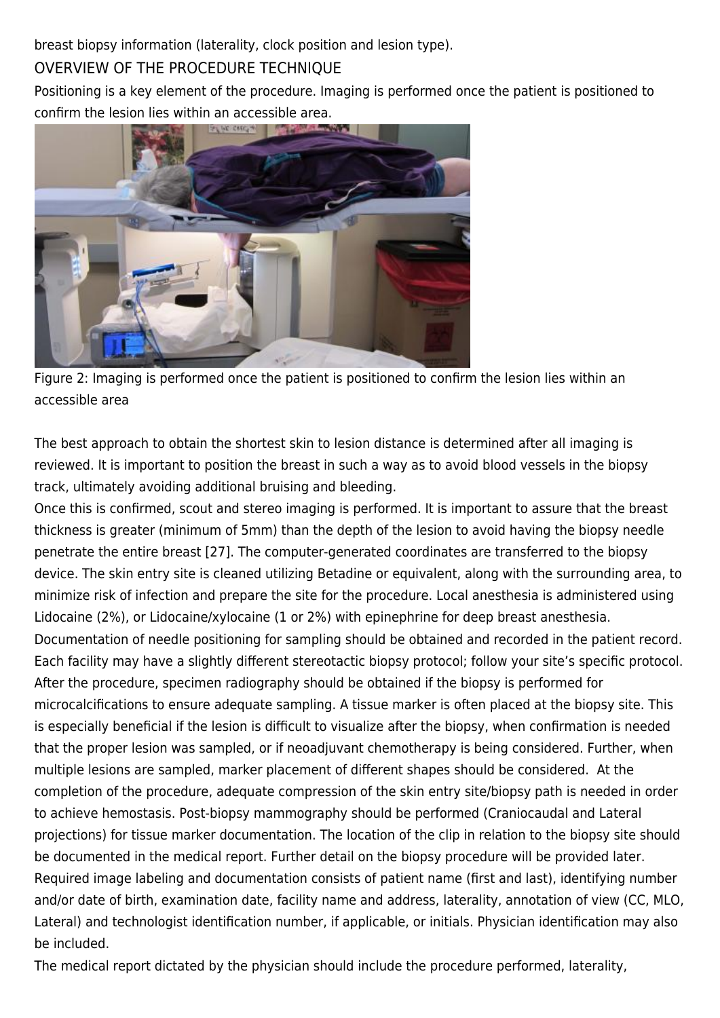breast biopsy information (laterality, clock position and lesion type).

# OVERVIEW OF THE PROCEDURE TECHNIQUE

Positioning is a key element of the procedure. Imaging is performed once the patient is positioned to confirm the lesion lies within an accessible area.



Figure 2: Imaging is performed once the patient is positioned to confirm the lesion lies within an accessible area

The best approach to obtain the shortest skin to lesion distance is determined after all imaging is reviewed. It is important to position the breast in such a way as to avoid blood vessels in the biopsy track, ultimately avoiding additional bruising and bleeding.

Once this is confirmed, scout and stereo imaging is performed. It is important to assure that the breast thickness is greater (minimum of 5mm) than the depth of the lesion to avoid having the biopsy needle penetrate the entire breast [27]. The computer-generated coordinates are transferred to the biopsy device. The skin entry site is cleaned utilizing Betadine or equivalent, along with the surrounding area, to minimize risk of infection and prepare the site for the procedure. Local anesthesia is administered using Lidocaine (2%), or Lidocaine/xylocaine (1 or 2%) with epinephrine for deep breast anesthesia. Documentation of needle positioning for sampling should be obtained and recorded in the patient record. Each facility may have a slightly different stereotactic biopsy protocol; follow your site's specific protocol. After the procedure, specimen radiography should be obtained if the biopsy is performed for microcalcifications to ensure adequate sampling. A tissue marker is often placed at the biopsy site. This is especially beneficial if the lesion is difficult to visualize after the biopsy, when confirmation is needed that the proper lesion was sampled, or if neoadjuvant chemotherapy is being considered. Further, when multiple lesions are sampled, marker placement of different shapes should be considered. At the completion of the procedure, adequate compression of the skin entry site/biopsy path is needed in order to achieve hemostasis. Post-biopsy mammography should be performed (Craniocaudal and Lateral projections) for tissue marker documentation. The location of the clip in relation to the biopsy site should be documented in the medical report. Further detail on the biopsy procedure will be provided later. Required image labeling and documentation consists of patient name (first and last), identifying number and/or date of birth, examination date, facility name and address, laterality, annotation of view (CC, MLO, Lateral) and technologist identification number, if applicable, or initials. Physician identification may also be included.

The medical report dictated by the physician should include the procedure performed, laterality,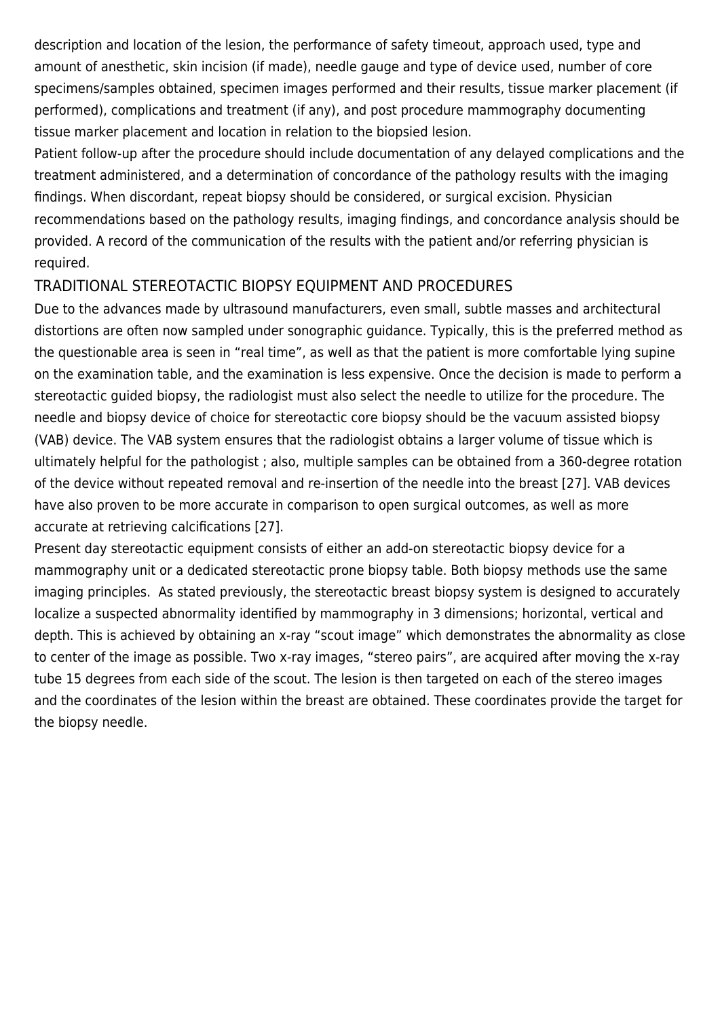description and location of the lesion, the performance of safety timeout, approach used, type and amount of anesthetic, skin incision (if made), needle gauge and type of device used, number of core specimens/samples obtained, specimen images performed and their results, tissue marker placement (if performed), complications and treatment (if any), and post procedure mammography documenting tissue marker placement and location in relation to the biopsied lesion.

Patient follow-up after the procedure should include documentation of any delayed complications and the treatment administered, and a determination of concordance of the pathology results with the imaging findings. When discordant, repeat biopsy should be considered, or surgical excision. Physician recommendations based on the pathology results, imaging findings, and concordance analysis should be provided. A record of the communication of the results with the patient and/or referring physician is required.

#### TRADITIONAL STEREOTACTIC BIOPSY EQUIPMENT AND PROCEDURES

Due to the advances made by ultrasound manufacturers, even small, subtle masses and architectural distortions are often now sampled under sonographic guidance. Typically, this is the preferred method as the questionable area is seen in "real time", as well as that the patient is more comfortable lying supine on the examination table, and the examination is less expensive. Once the decision is made to perform a stereotactic guided biopsy, the radiologist must also select the needle to utilize for the procedure. The needle and biopsy device of choice for stereotactic core biopsy should be the vacuum assisted biopsy (VAB) device. The VAB system ensures that the radiologist obtains a larger volume of tissue which is ultimately helpful for the pathologist ; also, multiple samples can be obtained from a 360-degree rotation of the device without repeated removal and re-insertion of the needle into the breast [27]. VAB devices have also proven to be more accurate in comparison to open surgical outcomes, as well as more accurate at retrieving calcifications [27].

Present day stereotactic equipment consists of either an add-on stereotactic biopsy device for a mammography unit or a dedicated stereotactic prone biopsy table. Both biopsy methods use the same imaging principles. As stated previously, the stereotactic breast biopsy system is designed to accurately localize a suspected abnormality identified by mammography in 3 dimensions; horizontal, vertical and depth. This is achieved by obtaining an x-ray "scout image" which demonstrates the abnormality as close to center of the image as possible. Two x-ray images, "stereo pairs", are acquired after moving the x-ray tube 15 degrees from each side of the scout. The lesion is then targeted on each of the stereo images and the coordinates of the lesion within the breast are obtained. These coordinates provide the target for the biopsy needle.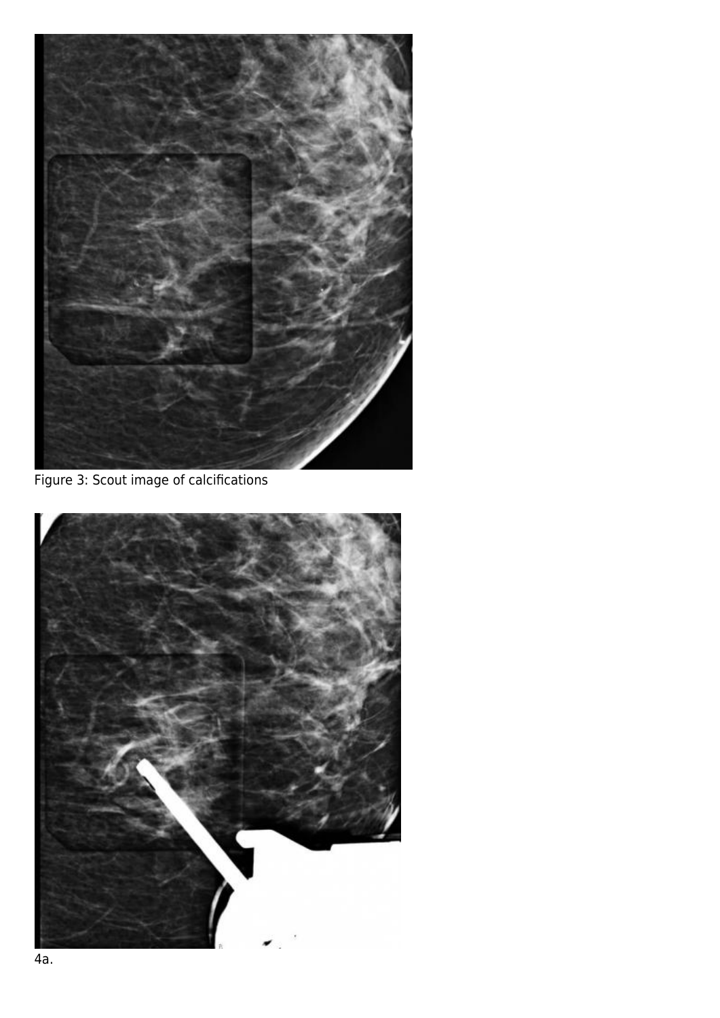

Figure 3: Scout image of calcifications

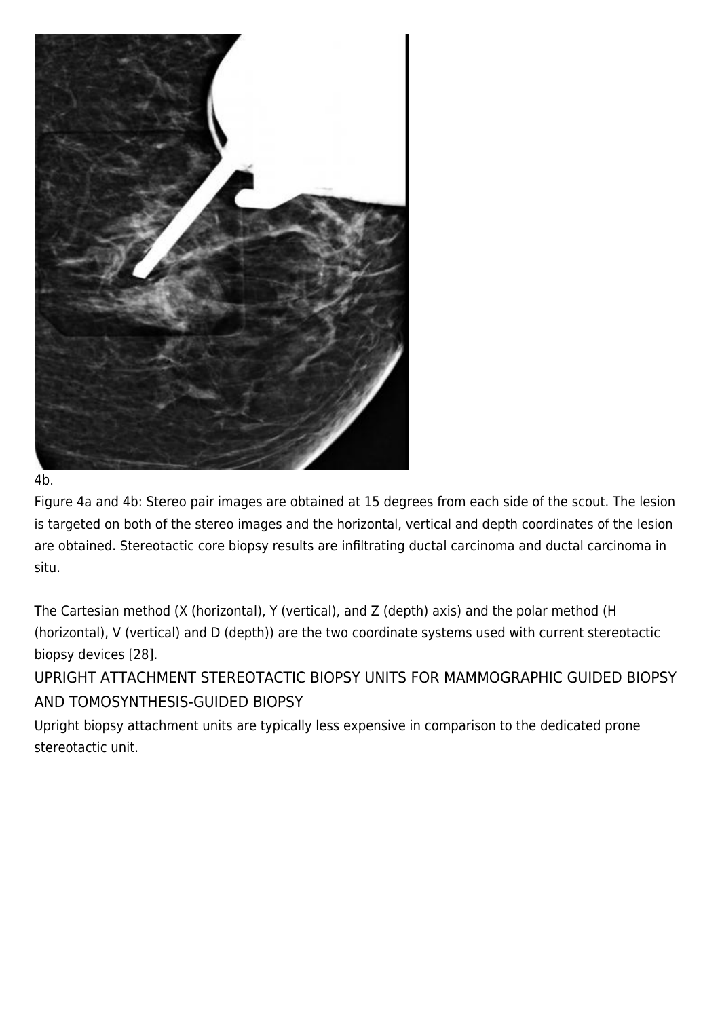

4b.

Figure 4a and 4b: Stereo pair images are obtained at 15 degrees from each side of the scout. The lesion is targeted on both of the stereo images and the horizontal, vertical and depth coordinates of the lesion are obtained. Stereotactic core biopsy results are infiltrating ductal carcinoma and ductal carcinoma in situ.

The Cartesian method (X (horizontal), Y (vertical), and Z (depth) axis) and the polar method (H (horizontal), V (vertical) and D (depth)) are the two coordinate systems used with current stereotactic biopsy devices [28].

UPRIGHT ATTACHMENT STEREOTACTIC BIOPSY UNITS FOR MAMMOGRAPHIC GUIDED BIOPSY AND TOMOSYNTHESIS-GUIDED BIOPSY

Upright biopsy attachment units are typically less expensive in comparison to the dedicated prone stereotactic unit.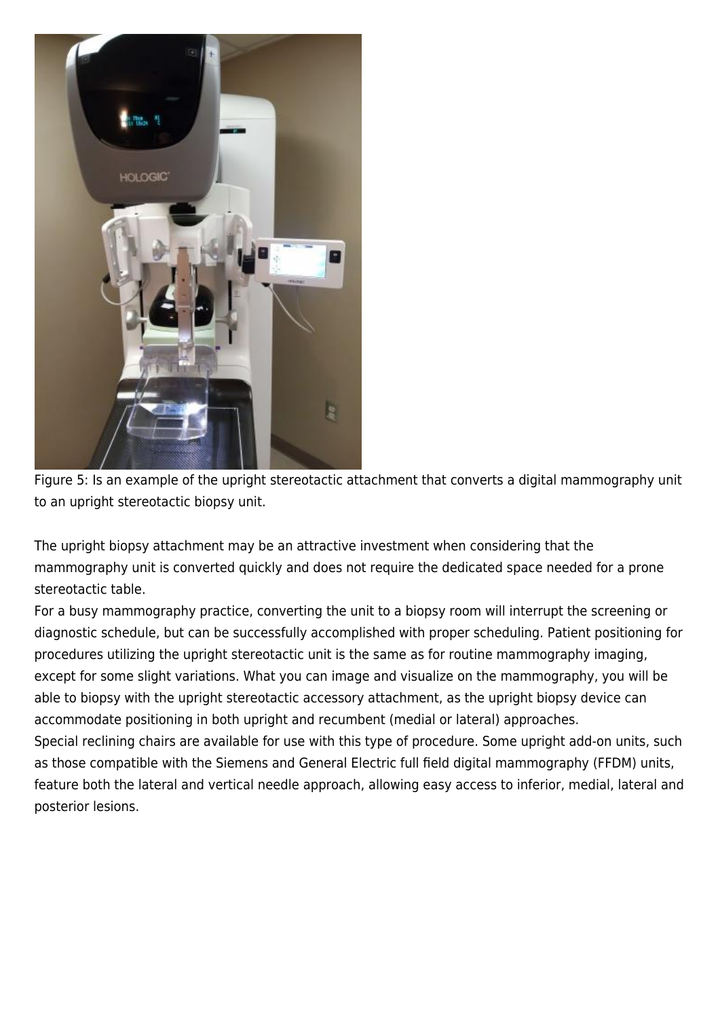

Figure 5: Is an example of the upright stereotactic attachment that converts a digital mammography unit to an upright stereotactic biopsy unit.

The upright biopsy attachment may be an attractive investment when considering that the mammography unit is converted quickly and does not require the dedicated space needed for a prone stereotactic table.

For a busy mammography practice, converting the unit to a biopsy room will interrupt the screening or diagnostic schedule, but can be successfully accomplished with proper scheduling. Patient positioning for procedures utilizing the upright stereotactic unit is the same as for routine mammography imaging, except for some slight variations. What you can image and visualize on the mammography, you will be able to biopsy with the upright stereotactic accessory attachment, as the upright biopsy device can accommodate positioning in both upright and recumbent (medial or lateral) approaches.

Special reclining chairs are available for use with this type of procedure. Some upright add-on units, such as those compatible with the Siemens and General Electric full field digital mammography (FFDM) units, feature both the lateral and vertical needle approach, allowing easy access to inferior, medial, lateral and posterior lesions.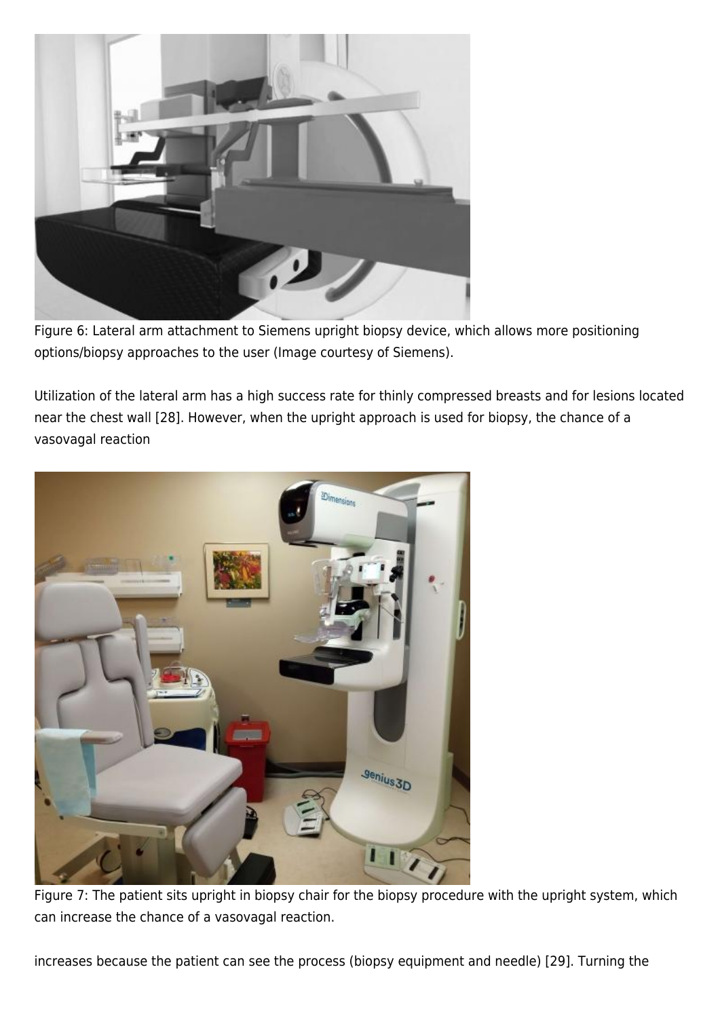

Figure 6: Lateral arm attachment to Siemens upright biopsy device, which allows more positioning options/biopsy approaches to the user (Image courtesy of Siemens).

Utilization of the lateral arm has a high success rate for thinly compressed breasts and for lesions located near the chest wall [28]. However, when the upright approach is used for biopsy, the chance of a vasovagal reaction



Figure 7: The patient sits upright in biopsy chair for the biopsy procedure with the upright system, which can increase the chance of a vasovagal reaction.

increases because the patient can see the process (biopsy equipment and needle) [29]. Turning the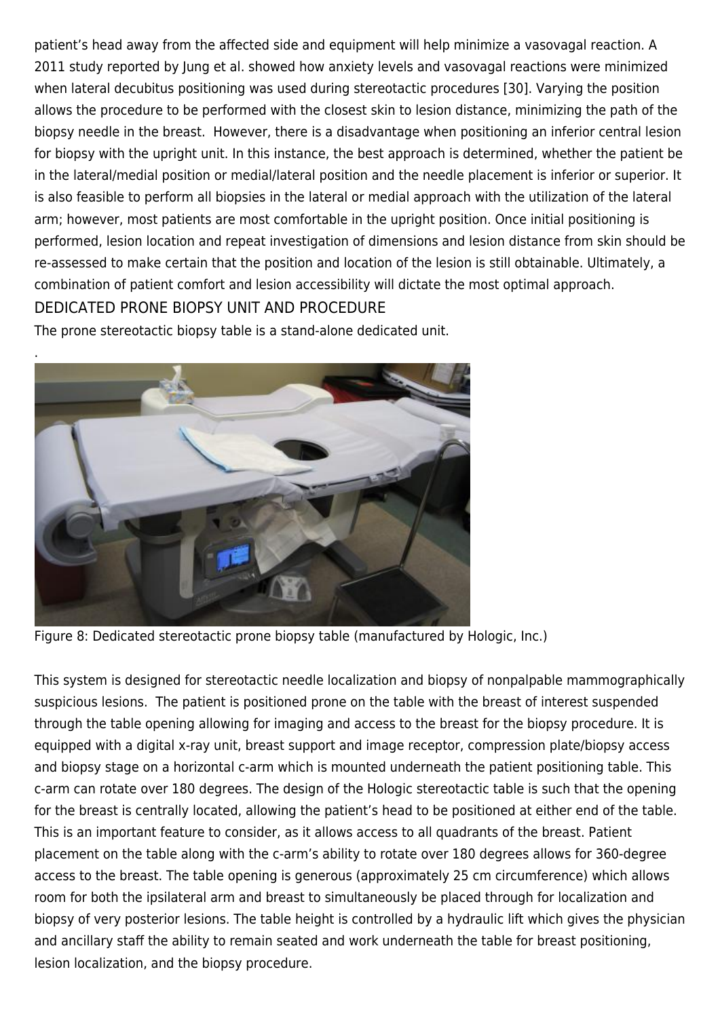patient's head away from the affected side and equipment will help minimize a vasovagal reaction. A 2011 study reported by Jung et al. showed how anxiety levels and vasovagal reactions were minimized when lateral decubitus positioning was used during stereotactic procedures [30]. Varying the position allows the procedure to be performed with the closest skin to lesion distance, minimizing the path of the biopsy needle in the breast. However, there is a disadvantage when positioning an inferior central lesion for biopsy with the upright unit. In this instance, the best approach is determined, whether the patient be in the lateral/medial position or medial/lateral position and the needle placement is inferior or superior. It is also feasible to perform all biopsies in the lateral or medial approach with the utilization of the lateral arm; however, most patients are most comfortable in the upright position. Once initial positioning is performed, lesion location and repeat investigation of dimensions and lesion distance from skin should be re-assessed to make certain that the position and location of the lesion is still obtainable. Ultimately, a combination of patient comfort and lesion accessibility will dictate the most optimal approach. DEDICATED PRONE BIOPSY UNIT AND PROCEDURE

The prone stereotactic biopsy table is a stand-alone dedicated unit.



Figure 8: Dedicated stereotactic prone biopsy table (manufactured by Hologic, Inc.)

This system is designed for stereotactic needle localization and biopsy of nonpalpable mammographically suspicious lesions. The patient is positioned prone on the table with the breast of interest suspended through the table opening allowing for imaging and access to the breast for the biopsy procedure. It is equipped with a digital x-ray unit, breast support and image receptor, compression plate/biopsy access and biopsy stage on a horizontal c-arm which is mounted underneath the patient positioning table. This c-arm can rotate over 180 degrees. The design of the Hologic stereotactic table is such that the opening for the breast is centrally located, allowing the patient's head to be positioned at either end of the table. This is an important feature to consider, as it allows access to all quadrants of the breast. Patient placement on the table along with the c-arm's ability to rotate over 180 degrees allows for 360-degree access to the breast. The table opening is generous (approximately 25 cm circumference) which allows room for both the ipsilateral arm and breast to simultaneously be placed through for localization and biopsy of very posterior lesions. The table height is controlled by a hydraulic lift which gives the physician and ancillary staff the ability to remain seated and work underneath the table for breast positioning, lesion localization, and the biopsy procedure.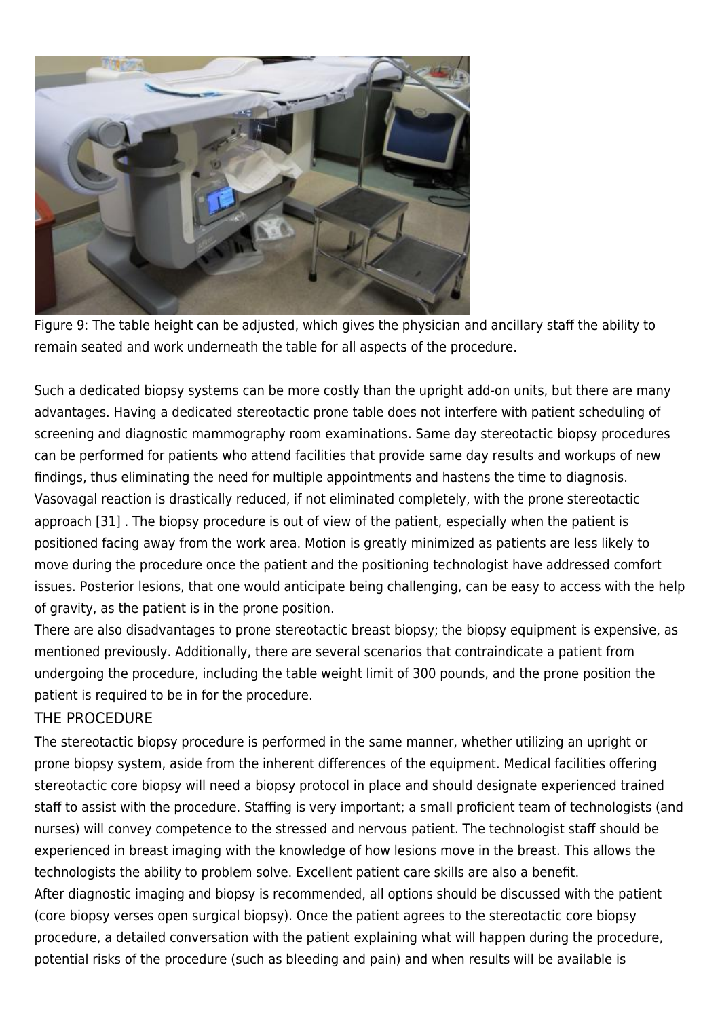

Figure 9: The table height can be adjusted, which gives the physician and ancillary staff the ability to remain seated and work underneath the table for all aspects of the procedure.

Such a dedicated biopsy systems can be more costly than the upright add-on units, but there are many advantages. Having a dedicated stereotactic prone table does not interfere with patient scheduling of screening and diagnostic mammography room examinations. Same day stereotactic biopsy procedures can be performed for patients who attend facilities that provide same day results and workups of new findings, thus eliminating the need for multiple appointments and hastens the time to diagnosis. Vasovagal reaction is drastically reduced, if not eliminated completely, with the prone stereotactic approach [31] . The biopsy procedure is out of view of the patient, especially when the patient is positioned facing away from the work area. Motion is greatly minimized as patients are less likely to move during the procedure once the patient and the positioning technologist have addressed comfort issues. Posterior lesions, that one would anticipate being challenging, can be easy to access with the help of gravity, as the patient is in the prone position.

There are also disadvantages to prone stereotactic breast biopsy; the biopsy equipment is expensive, as mentioned previously. Additionally, there are several scenarios that contraindicate a patient from undergoing the procedure, including the table weight limit of 300 pounds, and the prone position the patient is required to be in for the procedure.

#### THE PROCEDURE

The stereotactic biopsy procedure is performed in the same manner, whether utilizing an upright or prone biopsy system, aside from the inherent differences of the equipment. Medical facilities offering stereotactic core biopsy will need a biopsy protocol in place and should designate experienced trained staff to assist with the procedure. Staffing is very important; a small proficient team of technologists (and nurses) will convey competence to the stressed and nervous patient. The technologist staff should be experienced in breast imaging with the knowledge of how lesions move in the breast. This allows the technologists the ability to problem solve. Excellent patient care skills are also a benefit. After diagnostic imaging and biopsy is recommended, all options should be discussed with the patient (core biopsy verses open surgical biopsy). Once the patient agrees to the stereotactic core biopsy procedure, a detailed conversation with the patient explaining what will happen during the procedure, potential risks of the procedure (such as bleeding and pain) and when results will be available is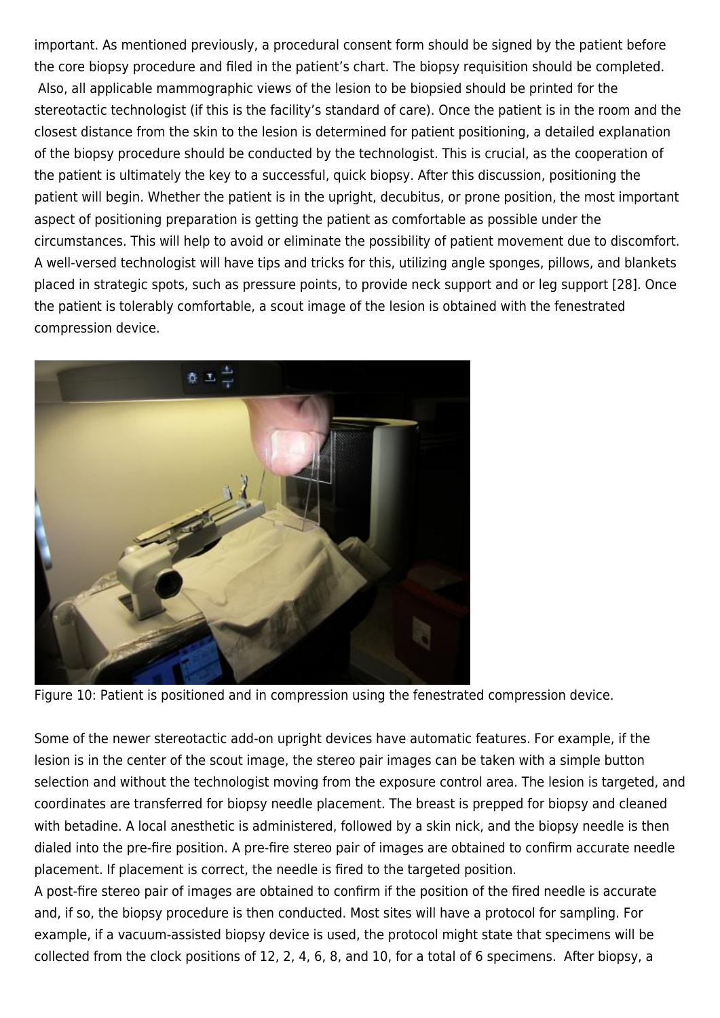important. As mentioned previously, a procedural consent form should be signed by the patient before the core biopsy procedure and filed in the patient's chart. The biopsy requisition should be completed. Also, all applicable mammographic views of the lesion to be biopsied should be printed for the stereotactic technologist (if this is the facility's standard of care). Once the patient is in the room and the closest distance from the skin to the lesion is determined for patient positioning, a detailed explanation of the biopsy procedure should be conducted by the technologist. This is crucial, as the cooperation of the patient is ultimately the key to a successful, quick biopsy. After this discussion, positioning the patient will begin. Whether the patient is in the upright, decubitus, or prone position, the most important aspect of positioning preparation is getting the patient as comfortable as possible under the circumstances. This will help to avoid or eliminate the possibility of patient movement due to discomfort. A well-versed technologist will have tips and tricks for this, utilizing angle sponges, pillows, and blankets placed in strategic spots, such as pressure points, to provide neck support and or leg support [28]. Once the patient is tolerably comfortable, a scout image of the lesion is obtained with the fenestrated compression device.



Figure 10: Patient is positioned and in compression using the fenestrated compression device.

Some of the newer stereotactic add-on upright devices have automatic features. For example, if the lesion is in the center of the scout image, the stereo pair images can be taken with a simple button selection and without the technologist moving from the exposure control area. The lesion is targeted, and coordinates are transferred for biopsy needle placement. The breast is prepped for biopsy and cleaned with betadine. A local anesthetic is administered, followed by a skin nick, and the biopsy needle is then dialed into the pre-fire position. A pre-fire stereo pair of images are obtained to confirm accurate needle placement. If placement is correct, the needle is fired to the targeted position.

A post-fire stereo pair of images are obtained to confirm if the position of the fired needle is accurate and, if so, the biopsy procedure is then conducted. Most sites will have a protocol for sampling. For example, if a vacuum-assisted biopsy device is used, the protocol might state that specimens will be collected from the clock positions of 12, 2, 4, 6, 8, and 10, for a total of 6 specimens. After biopsy, a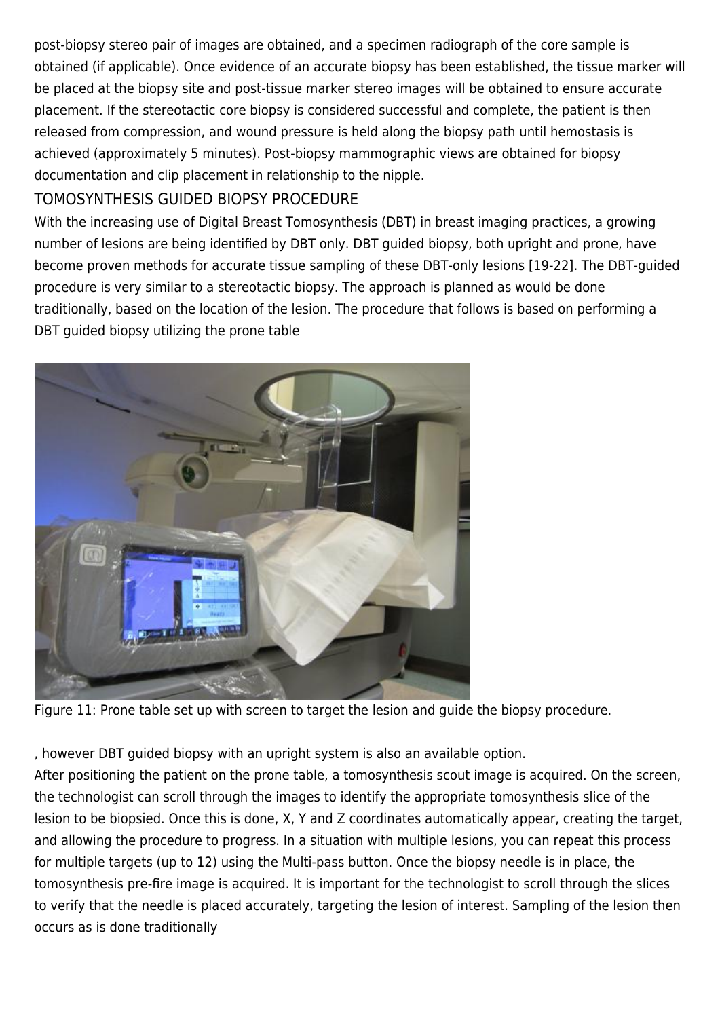post-biopsy stereo pair of images are obtained, and a specimen radiograph of the core sample is obtained (if applicable). Once evidence of an accurate biopsy has been established, the tissue marker will be placed at the biopsy site and post-tissue marker stereo images will be obtained to ensure accurate placement. If the stereotactic core biopsy is considered successful and complete, the patient is then released from compression, and wound pressure is held along the biopsy path until hemostasis is achieved (approximately 5 minutes). Post-biopsy mammographic views are obtained for biopsy documentation and clip placement in relationship to the nipple.

# TOMOSYNTHESIS GUIDED BIOPSY PROCEDURE

With the increasing use of Digital Breast Tomosynthesis (DBT) in breast imaging practices, a growing number of lesions are being identified by DBT only. DBT guided biopsy, both upright and prone, have become proven methods for accurate tissue sampling of these DBT-only lesions [19-22]. The DBT-guided procedure is very similar to a stereotactic biopsy. The approach is planned as would be done traditionally, based on the location of the lesion. The procedure that follows is based on performing a DBT guided biopsy utilizing the prone table



Figure 11: Prone table set up with screen to target the lesion and guide the biopsy procedure.

, however DBT guided biopsy with an upright system is also an available option.

After positioning the patient on the prone table, a tomosynthesis scout image is acquired. On the screen, the technologist can scroll through the images to identify the appropriate tomosynthesis slice of the lesion to be biopsied. Once this is done, X, Y and Z coordinates automatically appear, creating the target, and allowing the procedure to progress. In a situation with multiple lesions, you can repeat this process for multiple targets (up to 12) using the Multi-pass button. Once the biopsy needle is in place, the tomosynthesis pre-fire image is acquired. It is important for the technologist to scroll through the slices to verify that the needle is placed accurately, targeting the lesion of interest. Sampling of the lesion then occurs as is done traditionally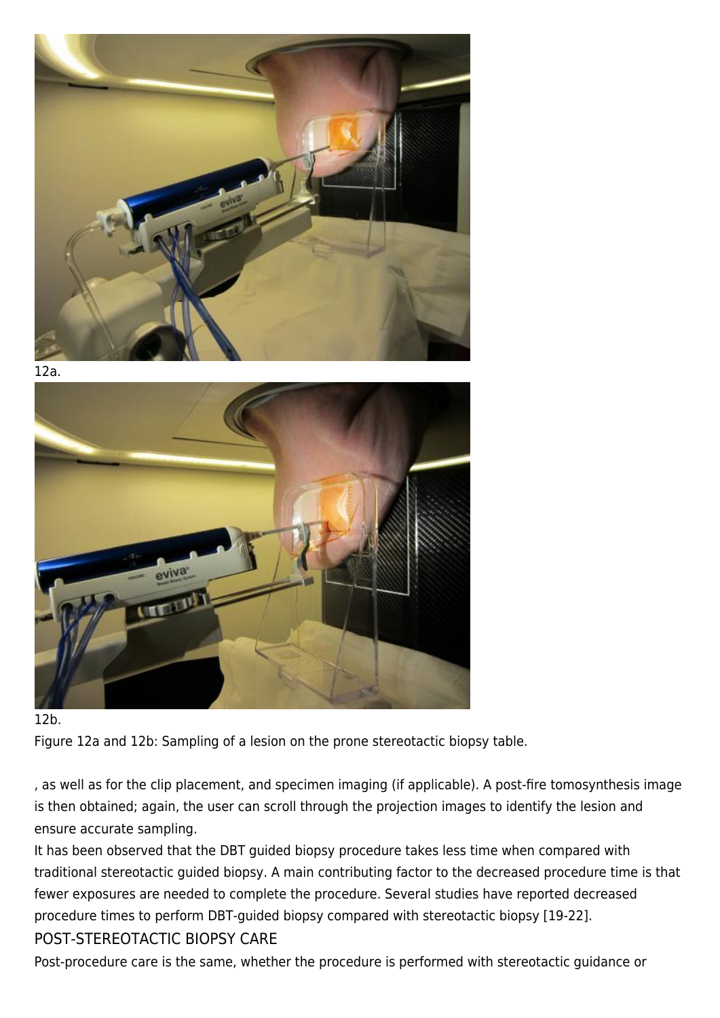







Figure 12a and 12b: Sampling of a lesion on the prone stereotactic biopsy table.

, as well as for the clip placement, and specimen imaging (if applicable). A post-fire tomosynthesis image is then obtained; again, the user can scroll through the projection images to identify the lesion and ensure accurate sampling.

It has been observed that the DBT guided biopsy procedure takes less time when compared with traditional stereotactic guided biopsy. A main contributing factor to the decreased procedure time is that fewer exposures are needed to complete the procedure. Several studies have reported decreased procedure times to perform DBT-guided biopsy compared with stereotactic biopsy [19-22]. POST-STEREOTACTIC BIOPSY CARE

Post-procedure care is the same, whether the procedure is performed with stereotactic guidance or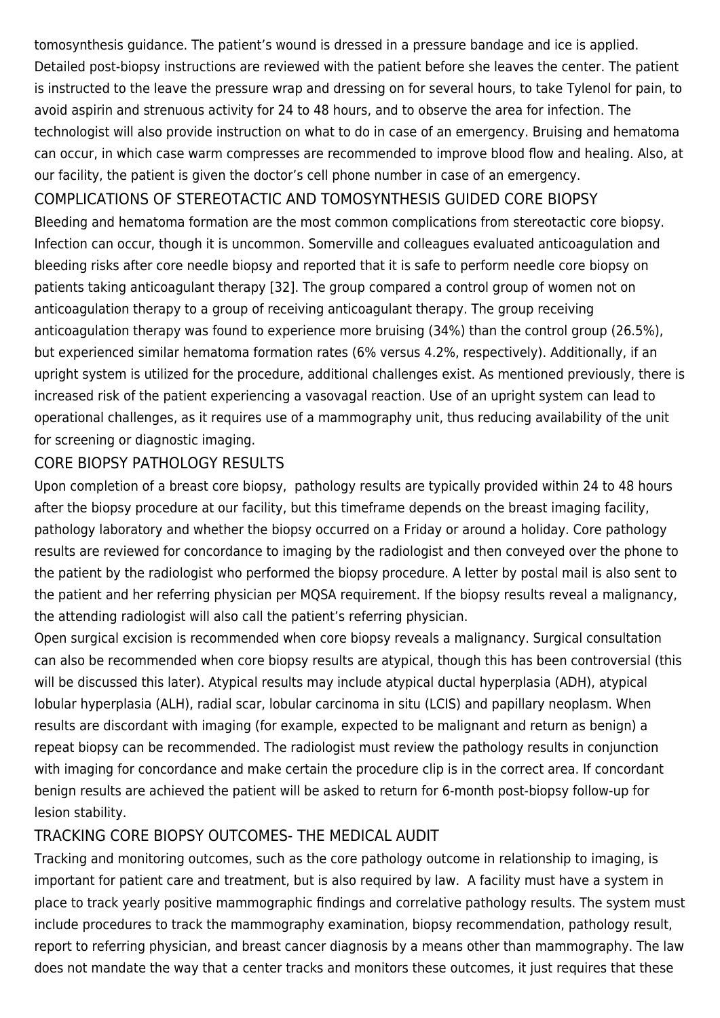tomosynthesis guidance. The patient's wound is dressed in a pressure bandage and ice is applied. Detailed post-biopsy instructions are reviewed with the patient before she leaves the center. The patient is instructed to the leave the pressure wrap and dressing on for several hours, to take Tylenol for pain, to avoid aspirin and strenuous activity for 24 to 48 hours, and to observe the area for infection. The technologist will also provide instruction on what to do in case of an emergency. Bruising and hematoma can occur, in which case warm compresses are recommended to improve blood flow and healing. Also, at our facility, the patient is given the doctor's cell phone number in case of an emergency.

# COMPLICATIONS OF STEREOTACTIC AND TOMOSYNTHESIS GUIDED CORE BIOPSY

Bleeding and hematoma formation are the most common complications from stereotactic core biopsy. Infection can occur, though it is uncommon. Somerville and colleagues evaluated anticoagulation and bleeding risks after core needle biopsy and reported that it is safe to perform needle core biopsy on patients taking anticoagulant therapy [32]. The group compared a control group of women not on anticoagulation therapy to a group of receiving anticoagulant therapy. The group receiving anticoagulation therapy was found to experience more bruising (34%) than the control group (26.5%), but experienced similar hematoma formation rates (6% versus 4.2%, respectively). Additionally, if an upright system is utilized for the procedure, additional challenges exist. As mentioned previously, there is increased risk of the patient experiencing a vasovagal reaction. Use of an upright system can lead to operational challenges, as it requires use of a mammography unit, thus reducing availability of the unit for screening or diagnostic imaging.

# CORE BIOPSY PATHOLOGY RESULTS

Upon completion of a breast core biopsy, pathology results are typically provided within 24 to 48 hours after the biopsy procedure at our facility, but this timeframe depends on the breast imaging facility, pathology laboratory and whether the biopsy occurred on a Friday or around a holiday. Core pathology results are reviewed for concordance to imaging by the radiologist and then conveyed over the phone to the patient by the radiologist who performed the biopsy procedure. A letter by postal mail is also sent to the patient and her referring physician per MQSA requirement. If the biopsy results reveal a malignancy, the attending radiologist will also call the patient's referring physician.

Open surgical excision is recommended when core biopsy reveals a malignancy. Surgical consultation can also be recommended when core biopsy results are atypical, though this has been controversial (this will be discussed this later). Atypical results may include atypical ductal hyperplasia (ADH), atypical lobular hyperplasia (ALH), radial scar, lobular carcinoma in situ (LCIS) and papillary neoplasm. When results are discordant with imaging (for example, expected to be malignant and return as benign) a repeat biopsy can be recommended. The radiologist must review the pathology results in conjunction with imaging for concordance and make certain the procedure clip is in the correct area. If concordant benign results are achieved the patient will be asked to return for 6-month post-biopsy follow-up for lesion stability.

# TRACKING CORE BIOPSY OUTCOMES- THE MEDICAL AUDIT

Tracking and monitoring outcomes, such as the core pathology outcome in relationship to imaging, is important for patient care and treatment, but is also required by law. A facility must have a system in place to track yearly positive mammographic findings and correlative pathology results. The system must include procedures to track the mammography examination, biopsy recommendation, pathology result, report to referring physician, and breast cancer diagnosis by a means other than mammography. The law does not mandate the way that a center tracks and monitors these outcomes, it just requires that these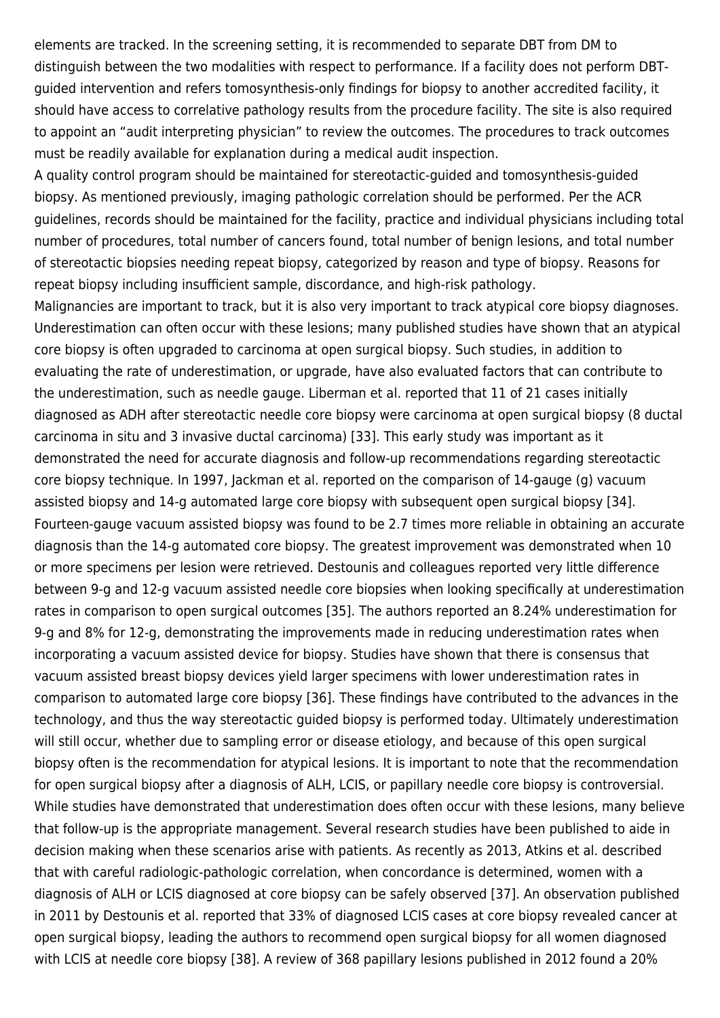elements are tracked. In the screening setting, it is recommended to separate DBT from DM to distinguish between the two modalities with respect to performance. If a facility does not perform DBTguided intervention and refers tomosynthesis-only findings for biopsy to another accredited facility, it should have access to correlative pathology results from the procedure facility. The site is also required to appoint an "audit interpreting physician" to review the outcomes. The procedures to track outcomes must be readily available for explanation during a medical audit inspection.

A quality control program should be maintained for stereotactic-guided and tomosynthesis-guided biopsy. As mentioned previously, imaging pathologic correlation should be performed. Per the ACR guidelines, records should be maintained for the facility, practice and individual physicians including total number of procedures, total number of cancers found, total number of benign lesions, and total number of stereotactic biopsies needing repeat biopsy, categorized by reason and type of biopsy. Reasons for repeat biopsy including insufficient sample, discordance, and high-risk pathology.

Malignancies are important to track, but it is also very important to track atypical core biopsy diagnoses. Underestimation can often occur with these lesions; many published studies have shown that an atypical core biopsy is often upgraded to carcinoma at open surgical biopsy. Such studies, in addition to evaluating the rate of underestimation, or upgrade, have also evaluated factors that can contribute to the underestimation, such as needle gauge. Liberman et al. reported that 11 of 21 cases initially diagnosed as ADH after stereotactic needle core biopsy were carcinoma at open surgical biopsy (8 ductal carcinoma in situ and 3 invasive ductal carcinoma) [33]. This early study was important as it demonstrated the need for accurate diagnosis and follow-up recommendations regarding stereotactic core biopsy technique. In 1997, Jackman et al. reported on the comparison of 14-gauge (g) vacuum assisted biopsy and 14-g automated large core biopsy with subsequent open surgical biopsy [34]. Fourteen-gauge vacuum assisted biopsy was found to be 2.7 times more reliable in obtaining an accurate diagnosis than the 14-g automated core biopsy. The greatest improvement was demonstrated when 10 or more specimens per lesion were retrieved. Destounis and colleagues reported very little difference between 9-g and 12-g vacuum assisted needle core biopsies when looking specifically at underestimation rates in comparison to open surgical outcomes [35]. The authors reported an 8.24% underestimation for 9-g and 8% for 12-g, demonstrating the improvements made in reducing underestimation rates when incorporating a vacuum assisted device for biopsy. Studies have shown that there is consensus that vacuum assisted breast biopsy devices yield larger specimens with lower underestimation rates in comparison to automated large core biopsy [36]. These findings have contributed to the advances in the technology, and thus the way stereotactic guided biopsy is performed today. Ultimately underestimation will still occur, whether due to sampling error or disease etiology, and because of this open surgical biopsy often is the recommendation for atypical lesions. It is important to note that the recommendation for open surgical biopsy after a diagnosis of ALH, LCIS, or papillary needle core biopsy is controversial. While studies have demonstrated that underestimation does often occur with these lesions, many believe that follow-up is the appropriate management. Several research studies have been published to aide in decision making when these scenarios arise with patients. As recently as 2013, Atkins et al. described that with careful radiologic-pathologic correlation, when concordance is determined, women with a diagnosis of ALH or LCIS diagnosed at core biopsy can be safely observed [37]. An observation published in 2011 by Destounis et al. reported that 33% of diagnosed LCIS cases at core biopsy revealed cancer at open surgical biopsy, leading the authors to recommend open surgical biopsy for all women diagnosed with LCIS at needle core biopsy [38]. A review of 368 papillary lesions published in 2012 found a 20%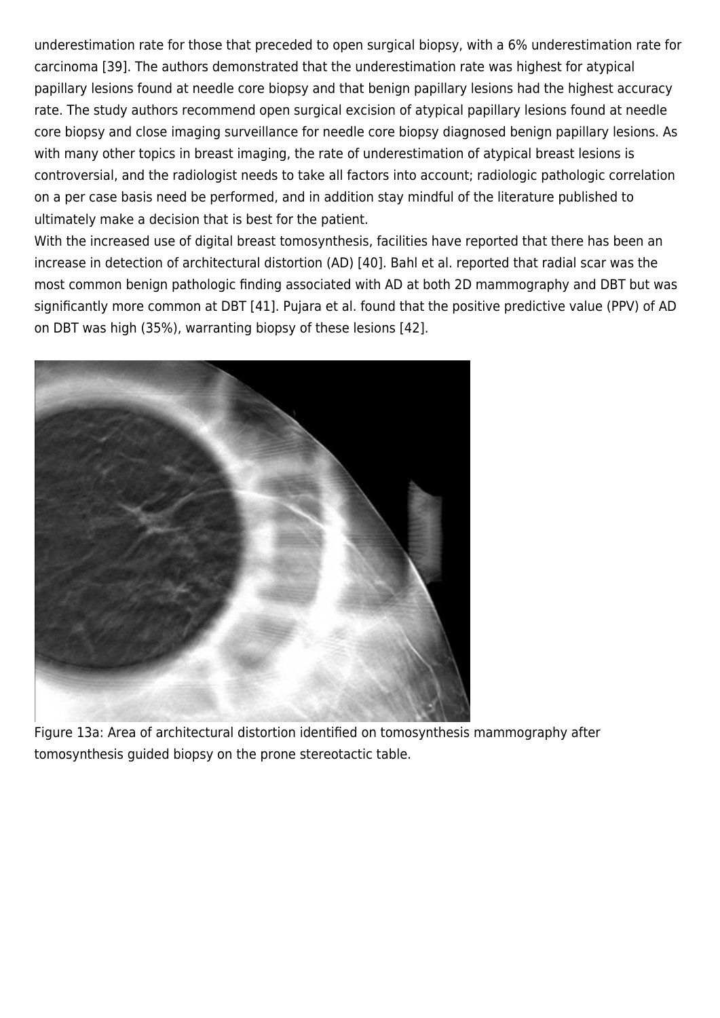underestimation rate for those that preceded to open surgical biopsy, with a 6% underestimation rate for carcinoma [39]. The authors demonstrated that the underestimation rate was highest for atypical papillary lesions found at needle core biopsy and that benign papillary lesions had the highest accuracy rate. The study authors recommend open surgical excision of atypical papillary lesions found at needle core biopsy and close imaging surveillance for needle core biopsy diagnosed benign papillary lesions. As with many other topics in breast imaging, the rate of underestimation of atypical breast lesions is controversial, and the radiologist needs to take all factors into account; radiologic pathologic correlation on a per case basis need be performed, and in addition stay mindful of the literature published to ultimately make a decision that is best for the patient.

With the increased use of digital breast tomosynthesis, facilities have reported that there has been an increase in detection of architectural distortion (AD) [40]. Bahl et al. reported that radial scar was the most common benign pathologic finding associated with AD at both 2D mammography and DBT but was significantly more common at DBT [41]. Pujara et al. found that the positive predictive value (PPV) of AD on DBT was high (35%), warranting biopsy of these lesions [42].



Figure 13a: Area of architectural distortion identified on tomosynthesis mammography after tomosynthesis guided biopsy on the prone stereotactic table.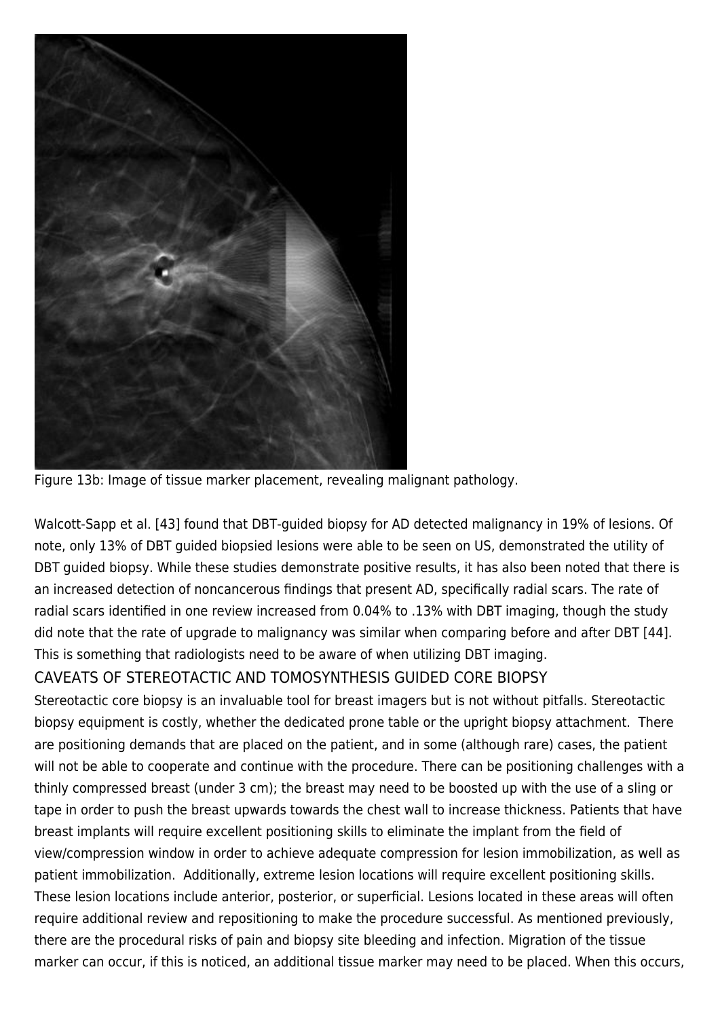

Figure 13b: Image of tissue marker placement, revealing malignant pathology.

Walcott-Sapp et al. [43] found that DBT-guided biopsy for AD detected malignancy in 19% of lesions. Of note, only 13% of DBT guided biopsied lesions were able to be seen on US, demonstrated the utility of DBT guided biopsy. While these studies demonstrate positive results, it has also been noted that there is an increased detection of noncancerous findings that present AD, specifically radial scars. The rate of radial scars identified in one review increased from 0.04% to .13% with DBT imaging, though the study did note that the rate of upgrade to malignancy was similar when comparing before and after DBT [44]. This is something that radiologists need to be aware of when utilizing DBT imaging.

# CAVEATS OF STEREOTACTIC AND TOMOSYNTHESIS GUIDED CORE BIOPSY

Stereotactic core biopsy is an invaluable tool for breast imagers but is not without pitfalls. Stereotactic biopsy equipment is costly, whether the dedicated prone table or the upright biopsy attachment. There are positioning demands that are placed on the patient, and in some (although rare) cases, the patient will not be able to cooperate and continue with the procedure. There can be positioning challenges with a thinly compressed breast (under 3 cm); the breast may need to be boosted up with the use of a sling or tape in order to push the breast upwards towards the chest wall to increase thickness. Patients that have breast implants will require excellent positioning skills to eliminate the implant from the field of view/compression window in order to achieve adequate compression for lesion immobilization, as well as patient immobilization. Additionally, extreme lesion locations will require excellent positioning skills. These lesion locations include anterior, posterior, or superficial. Lesions located in these areas will often require additional review and repositioning to make the procedure successful. As mentioned previously, there are the procedural risks of pain and biopsy site bleeding and infection. Migration of the tissue marker can occur, if this is noticed, an additional tissue marker may need to be placed. When this occurs,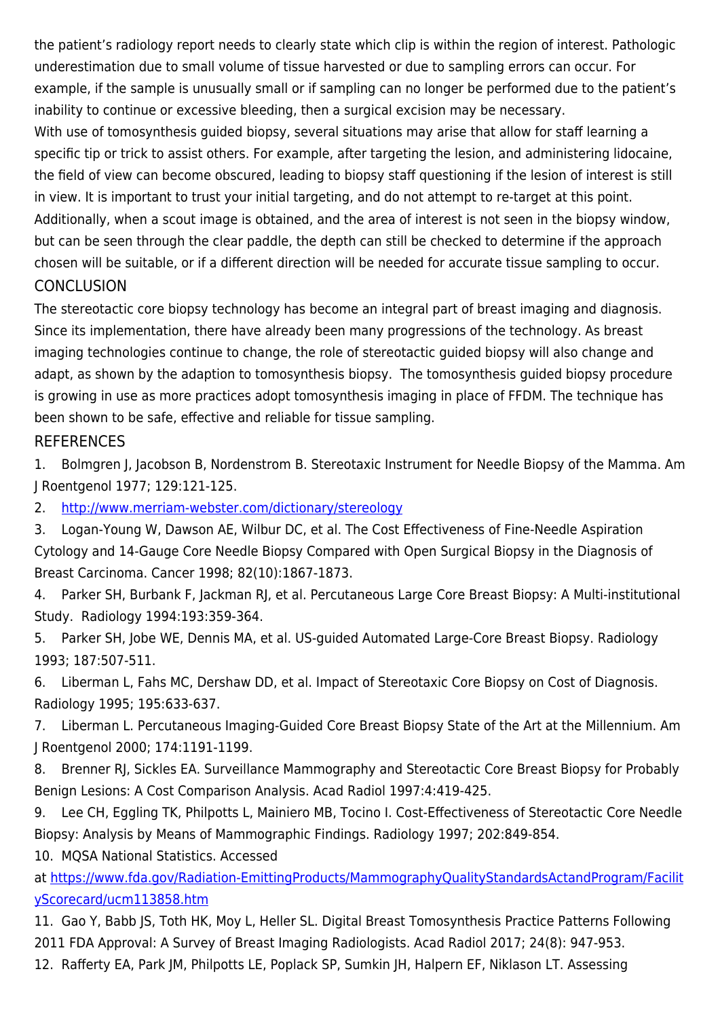the patient's radiology report needs to clearly state which clip is within the region of interest. Pathologic underestimation due to small volume of tissue harvested or due to sampling errors can occur. For example, if the sample is unusually small or if sampling can no longer be performed due to the patient's inability to continue or excessive bleeding, then a surgical excision may be necessary.

With use of tomosynthesis guided biopsy, several situations may arise that allow for staff learning a specific tip or trick to assist others. For example, after targeting the lesion, and administering lidocaine, the field of view can become obscured, leading to biopsy staff questioning if the lesion of interest is still in view. It is important to trust your initial targeting, and do not attempt to re-target at this point. Additionally, when a scout image is obtained, and the area of interest is not seen in the biopsy window, but can be seen through the clear paddle, the depth can still be checked to determine if the approach chosen will be suitable, or if a different direction will be needed for accurate tissue sampling to occur. **CONCLUSION** 

The stereotactic core biopsy technology has become an integral part of breast imaging and diagnosis. Since its implementation, there have already been many progressions of the technology. As breast imaging technologies continue to change, the role of stereotactic guided biopsy will also change and adapt, as shown by the adaption to tomosynthesis biopsy. The tomosynthesis guided biopsy procedure is growing in use as more practices adopt tomosynthesis imaging in place of FFDM. The technique has been shown to be safe, effective and reliable for tissue sampling.

#### REFERENCES

1. Bolmgren J, Jacobson B, Nordenstrom B. Stereotaxic Instrument for Needle Biopsy of the Mamma. Am J Roentgenol 1977; 129:121-125.

2. <http://www.merriam-webster.com/dictionary/stereology>

3. Logan-Young W, Dawson AE, Wilbur DC, et al. The Cost Effectiveness of Fine-Needle Aspiration Cytology and 14-Gauge Core Needle Biopsy Compared with Open Surgical Biopsy in the Diagnosis of Breast Carcinoma. Cancer 1998; 82(10):1867-1873.

4. Parker SH, Burbank F, Jackman RJ, et al. Percutaneous Large Core Breast Biopsy: A Multi-institutional Study. Radiology 1994:193:359-364.

5. Parker SH, Jobe WE, Dennis MA, et al. US-guided Automated Large-Core Breast Biopsy. Radiology 1993; 187:507-511.

6. Liberman L, Fahs MC, Dershaw DD, et al. Impact of Stereotaxic Core Biopsy on Cost of Diagnosis. Radiology 1995; 195:633-637.

7. Liberman L. Percutaneous Imaging-Guided Core Breast Biopsy State of the Art at the Millennium. Am J Roentgenol 2000; 174:1191-1199.

8. Brenner RJ, Sickles EA. Surveillance Mammography and Stereotactic Core Breast Biopsy for Probably Benign Lesions: A Cost Comparison Analysis. Acad Radiol 1997:4:419-425.

9. Lee CH, Eggling TK, Philpotts L, Mainiero MB, Tocino I. Cost-Effectiveness of Stereotactic Core Needle Biopsy: Analysis by Means of Mammographic Findings. Radiology 1997; 202:849-854.

10. MQSA National Statistics. Accessed

at [https://www.fda.gov/Radiation-EmittingProducts/MammographyQualityStandardsActandProgram/Facilit](https://www.fda.gov/Radiation-EmittingProducts/MammographyQualityStandardsActandProgram/FacilityScorecard/ucm113858.htm) [yScorecard/ucm113858.htm](https://www.fda.gov/Radiation-EmittingProducts/MammographyQualityStandardsActandProgram/FacilityScorecard/ucm113858.htm)

11. Gao Y, Babb JS, Toth HK, Moy L, Heller SL. Digital Breast Tomosynthesis Practice Patterns Following 2011 FDA Approval: A Survey of Breast Imaging Radiologists. Acad Radiol 2017; 24(8): 947-953.

12. Rafferty EA, Park JM, Philpotts LE, Poplack SP, Sumkin JH, Halpern EF, Niklason LT. Assessing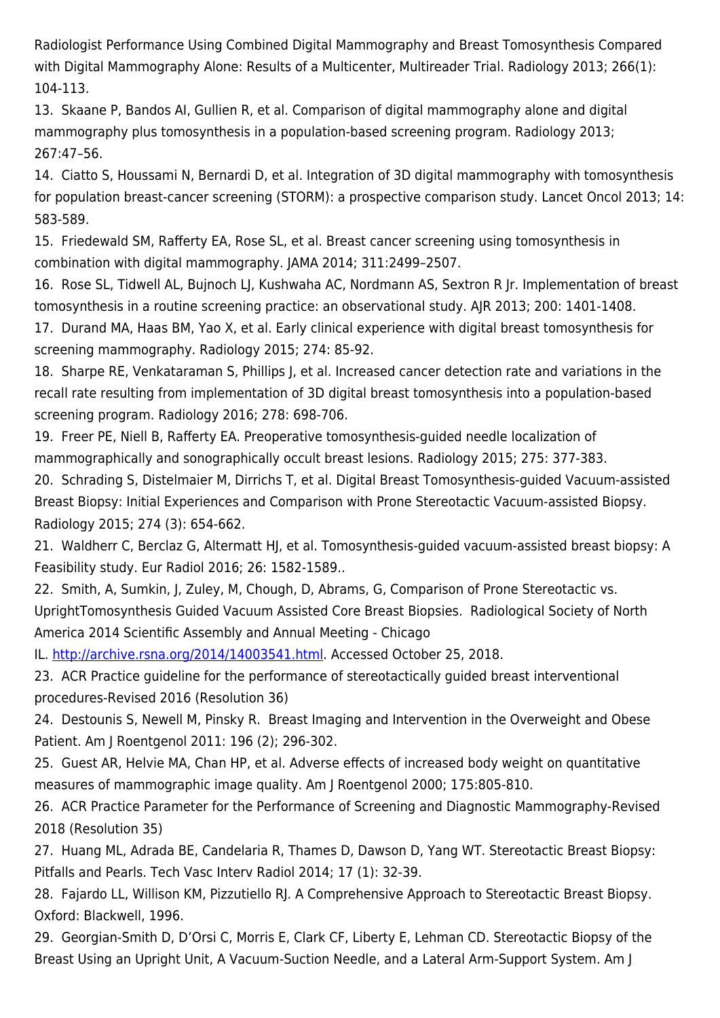Radiologist Performance Using Combined Digital Mammography and Breast Tomosynthesis Compared with Digital Mammography Alone: Results of a Multicenter, Multireader Trial. Radiology 2013; 266(1): 104-113.

13. Skaane P, Bandos AI, Gullien R, et al. Comparison of digital mammography alone and digital mammography plus tomosynthesis in a population-based screening program. Radiology 2013; 267:47–56.

14. Ciatto S, Houssami N, Bernardi D, et al. Integration of 3D digital mammography with tomosynthesis for population breast-cancer screening (STORM): a prospective comparison study. Lancet Oncol 2013; 14: 583-589.

15. Friedewald SM, Rafferty EA, Rose SL, et al. Breast cancer screening using tomosynthesis in combination with digital mammography. JAMA 2014; 311:2499–2507.

16. Rose SL, Tidwell AL, Bujnoch LJ, Kushwaha AC, Nordmann AS, Sextron R Jr. Implementation of breast tomosynthesis in a routine screening practice: an observational study. AJR 2013; 200: 1401-1408.

17. Durand MA, Haas BM, Yao X, et al. Early clinical experience with digital breast tomosynthesis for screening mammography. Radiology 2015; 274: 85-92.

18. Sharpe RE, Venkataraman S, Phillips J, et al. Increased cancer detection rate and variations in the recall rate resulting from implementation of 3D digital breast tomosynthesis into a population-based screening program. Radiology 2016; 278: 698-706.

19. Freer PE, Niell B, Rafferty EA. Preoperative tomosynthesis-guided needle localization of mammographically and sonographically occult breast lesions. Radiology 2015; 275: 377-383.

20. Schrading S, Distelmaier M, Dirrichs T, et al. Digital Breast Tomosynthesis-guided Vacuum-assisted Breast Biopsy: Initial Experiences and Comparison with Prone Stereotactic Vacuum-assisted Biopsy. Radiology 2015; 274 (3): 654-662.

21. Waldherr C, Berclaz G, Altermatt HJ, et al. Tomosynthesis-guided vacuum-assisted breast biopsy: A Feasibility study. Eur Radiol 2016; 26: 1582-1589..

22. Smith, A, Sumkin, J, Zuley, M, Chough, D, Abrams, G, Comparison of Prone Stereotactic vs. UprightTomosynthesis Guided Vacuum Assisted Core Breast Biopsies. Radiological Society of North America 2014 Scientific Assembly and Annual Meeting - Chicago

IL.<http://archive.rsna.org/2014/14003541.html>. Accessed October 25, 2018.

23. ACR Practice guideline for the performance of stereotactically guided breast interventional procedures-Revised 2016 (Resolution 36)

24. Destounis S, Newell M, Pinsky R. Breast Imaging and Intervention in the Overweight and Obese Patient. Am J Roentgenol 2011: 196 (2); 296-302.

25. Guest AR, Helvie MA, Chan HP, et al. Adverse effects of increased body weight on quantitative measures of mammographic image quality. Am J Roentgenol 2000; 175:805-810.

26. ACR Practice Parameter for the Performance of Screening and Diagnostic Mammography-Revised 2018 (Resolution 35)

27. Huang ML, Adrada BE, Candelaria R, Thames D, Dawson D, Yang WT. Stereotactic Breast Biopsy: Pitfalls and Pearls. Tech Vasc Interv Radiol 2014; 17 (1): 32-39.

28. Fajardo LL, Willison KM, Pizzutiello RJ. A Comprehensive Approach to Stereotactic Breast Biopsy. Oxford: Blackwell, 1996.

29. Georgian-Smith D, D'Orsi C, Morris E, Clark CF, Liberty E, Lehman CD. Stereotactic Biopsy of the Breast Using an Upright Unit, A Vacuum-Suction Needle, and a Lateral Arm-Support System. Am J